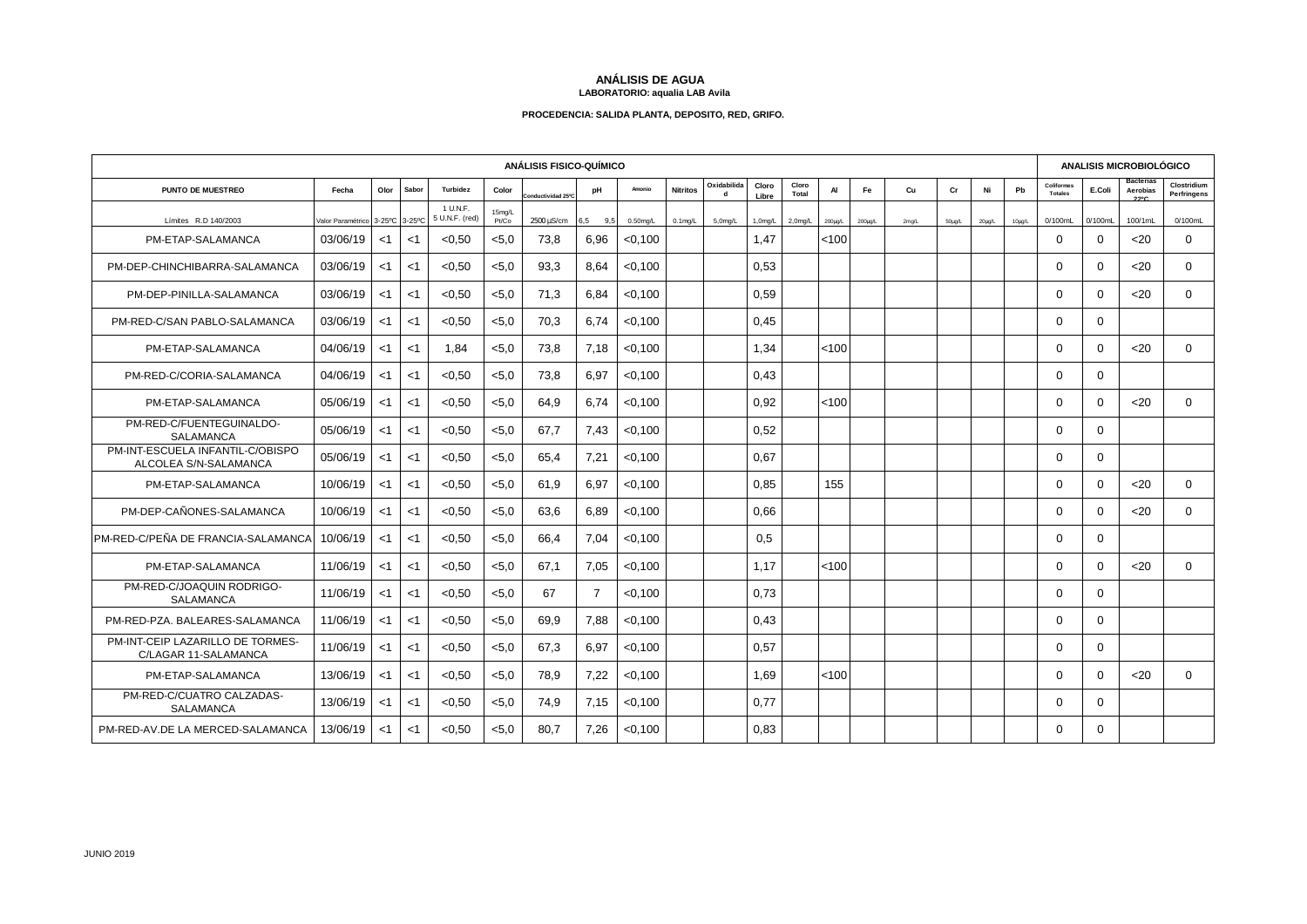## **ANÁLISIS DE AGUA LABORATORIO: aqualia LAB Avila**

## **PROCEDENCIA: SALIDA PLANTA, DEPOSITO, RED, GRIFO.**

| <b>ANÁLISIS FISICO-QUÍMICO</b>                            |                          |       |        |                            |                 |                              |                |             |                 |                  |                |                |              | <b>ANALISIS MICROBIOLÓGICO</b> |       |             |        |        |                              |          |                               |                            |
|-----------------------------------------------------------|--------------------------|-------|--------|----------------------------|-----------------|------------------------------|----------------|-------------|-----------------|------------------|----------------|----------------|--------------|--------------------------------|-------|-------------|--------|--------|------------------------------|----------|-------------------------------|----------------------------|
| PUNTO DE MUESTREO                                         | Fecha                    | Olor  | Sabor  | Turbidez                   | Color           | onductividad 25°C            | pH             | Amonio      | <b>Nitritos</b> | Oxidabilida<br>d | Cloro<br>Libre | Cloro<br>Total | AI           | Fe                             | Cu    | cr          | Ni     | Pb     | Coliformes<br><b>Totales</b> | E.Coli   | Bacterias<br>Aerobias<br>2290 | Clostridium<br>Perfringens |
| Límites R.D 140/2003                                      | Valor Paramétrico 3-25°C |       | 3-25°C | 1 U.N.F.<br>5 U.N.F. (red) | 15mg/L<br>Pt/Co | $2500 \,\mathrm{\upmu S/cm}$ | 6,5<br>9,5     | $0.50$ mg/L | $0.1$ mg/L      | 5,0mg/L          | $1,0$ mg/L     | 2,0mg/L        | $200\mu g/L$ | $200\mu q/L$                   | 2mg/L | $50\mu g/L$ | 20µg/L | 10µg/L | 0/100mL                      | 0/100mL  | 100/1mL                       | 0/100mL                    |
| PM-ETAP-SALAMANCA                                         | 03/06/19                 | $<$ 1 | $<$ 1  | < 0.50                     | < 5.0           | 73.8                         | 6.96           | < 0.100     |                 |                  | 1.47           |                | < 100        |                                |       |             |        |        | $\Omega$                     | $\Omega$ | $20$                          | $\Omega$                   |
| PM-DEP-CHINCHIBARRA-SALAMANCA                             | 03/06/19                 | $<$ 1 | $<$ 1  | < 0.50                     | < 5.0           | 93,3                         | 8,64           | < 0.100     |                 |                  | 0,53           |                |              |                                |       |             |        |        | $\Omega$                     | $\Omega$ | $20$                          | $\Omega$                   |
| PM-DEP-PINILLA-SALAMANCA                                  | 03/06/19                 | $<$ 1 | $<$ 1  | < 0, 50                    | < 5.0           | 71,3                         | 6,84           | < 0.100     |                 |                  | 0,59           |                |              |                                |       |             |        |        | $\Omega$                     | $\Omega$ | $<$ 20                        | $\Omega$                   |
| PM-RED-C/SAN PABLO-SALAMANCA                              | 03/06/19                 | $<$ 1 | $<$ 1  | < 0.50                     | < 5.0           | 70,3                         | 6,74           | < 0.100     |                 |                  | 0.45           |                |              |                                |       |             |        |        | $\Omega$                     | $\Omega$ |                               |                            |
| PM-ETAP-SALAMANCA                                         | 04/06/19                 | $<$ 1 | $<$ 1  | 1.84                       | < 5.0           | 73.8                         | 7.18           | < 0.100     |                 |                  | 1.34           |                | < 100        |                                |       |             |        |        | $\Omega$                     | $\Omega$ | $20$                          | $\mathbf 0$                |
| PM-RED-C/CORIA-SALAMANCA                                  | 04/06/19                 | $<$ 1 | $<$ 1  | < 0.50                     | < 5.0           | 73.8                         | 6.97           | < 0.100     |                 |                  | 0.43           |                |              |                                |       |             |        |        | $\Omega$                     | $\Omega$ |                               |                            |
| PM-ETAP-SALAMANCA                                         | 05/06/19                 | $<$ 1 | $<$ 1  | < 0.50                     | < 5.0           | 64.9                         | 6.74           | < 0.100     |                 |                  | 0.92           |                | < 100        |                                |       |             |        |        | $\Omega$                     | $\Omega$ | $20$                          | $\mathbf 0$                |
| PM-RED-C/FUENTEGUINALDO-<br>SALAMANCA                     | 05/06/19                 | $<$ 1 | <1     | < 0.50                     | < 5.0           | 67.7                         | 7.43           | < 0.100     |                 |                  | 0.52           |                |              |                                |       |             |        |        | $\Omega$                     | $\Omega$ |                               |                            |
| PM-INT-ESCUELA INFANTIL-C/OBISPO<br>ALCOLEA S/N-SALAMANCA | 05/06/19                 | $<$ 1 | $<$ 1  | < 0.50                     | < 5.0           | 65.4                         | 7,21           | < 0.100     |                 |                  | 0.67           |                |              |                                |       |             |        |        | $\Omega$                     | $\Omega$ |                               |                            |
| PM-ETAP-SALAMANCA                                         | 10/06/19                 | $<$ 1 | <1     | < 0.50                     | < 5.0           | 61.9                         | 6.97           | < 0.100     |                 |                  | 0.85           |                | 155          |                                |       |             |        |        | $\Omega$                     | $\Omega$ | <20                           | $\Omega$                   |
| PM-DEP-CAÑONES-SALAMANCA                                  | 10/06/19                 | $<$ 1 | $<$ 1  | < 0.50                     | < 5.0           | 63.6                         | 6.89           | $<$ 0,100   |                 |                  | 0.66           |                |              |                                |       |             |        |        | $\Omega$                     | $\Omega$ | $20$                          | $\Omega$                   |
| PM-RED-C/PEÑA DE FRANCIA-SALAMANCA                        | 10/06/19                 | $<$ 1 | <1     | < 0.50                     | < 5.0           | 66,4                         | 7,04           | < 0.100     |                 |                  | 0,5            |                |              |                                |       |             |        |        | $\Omega$                     | $\Omega$ |                               |                            |
| PM-ETAP-SALAMANCA                                         | 11/06/19                 | $<$ 1 | <1     | < 0.50                     | < 5.0           | 67.1                         | 7,05           | < 0.100     |                 |                  | 1.17           |                | < 100        |                                |       |             |        |        | $\Omega$                     | $\Omega$ | $<$ 20                        | $\Omega$                   |
| PM-RED-C/JOAQUIN RODRIGO-<br><b>SALAMANCA</b>             | 11/06/19                 | $<$ 1 | <1     | < 0.50                     | < 5.0           | 67                           | $\overline{7}$ | < 0.100     |                 |                  | 0.73           |                |              |                                |       |             |        |        | $\Omega$                     | $\Omega$ |                               |                            |
| PM-RED-PZA. BALEARES-SALAMANCA                            | 11/06/19                 | $<$ 1 | $<$ 1  | < 0.50                     | < 5.0           | 69,9                         | 7,88           | < 0.100     |                 |                  | 0,43           |                |              |                                |       |             |        |        | $\Omega$                     | $\Omega$ |                               |                            |
| PM-INT-CEIP LAZARILLO DE TORMES-<br>C/LAGAR 11-SALAMANCA  | 11/06/19                 | $<$ 1 | $<$ 1  | < 0.50                     | < 5.0           | 67.3                         | 6.97           | < 0.100     |                 |                  | 0.57           |                |              |                                |       |             |        |        | $\Omega$                     | $\Omega$ |                               |                            |
| PM-ETAP-SALAMANCA                                         | 13/06/19                 | $<$ 1 | <1     | < 0.50                     | < 5.0           | 78,9                         | 7,22           | < 0.100     |                 |                  | 1,69           |                | < 100        |                                |       |             |        |        | $\Omega$                     | $\Omega$ | <20                           | $\mathbf{0}$               |
| PM-RED-C/CUATRO CALZADAS-<br>SALAMANCA                    | 13/06/19                 | $<$ 1 | $<$ 1  | < 0.50                     | < 5.0           | 74.9                         | 7.15           | $<$ 0,100   |                 |                  | 0.77           |                |              |                                |       |             |        |        | $\Omega$                     | $\Omega$ |                               |                            |
| PM-RED-AV.DE LA MERCED-SALAMANCA                          | 13/06/19                 | $<$ 1 | $<$ 1  | < 0.50                     | < 5.0           | 80.7                         | 7.26           | < 0.100     |                 |                  | 0.83           |                |              |                                |       |             |        |        | $\Omega$                     | $\Omega$ |                               |                            |